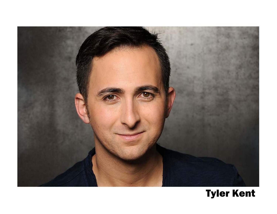

# **Tyler Kent**